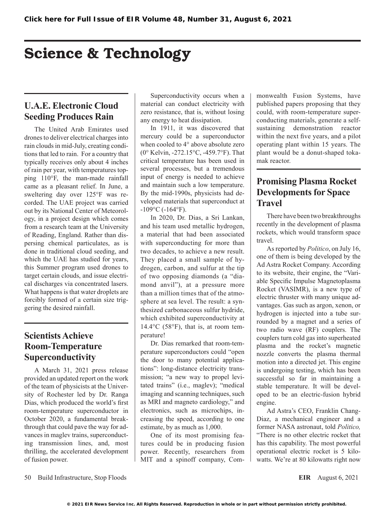# Science & Technology

## **U.A.E. Electronic Cloud Seeding Produces Rain**

The United Arab Emirates used drones to deliver electrical charges into rain clouds in mid-July, creating conditions that led to rain. For a country that typically receives only about 4 inches of rain per year, with temperatures topping 110°F, the man-made rainfall came as a pleasant relief. In June, a sweltering day over 125°F was recorded. The UAE project was carried out by its National Center of Meteorology, in a project design which comes from a research team at the University of Reading, England. Rather than dispersing chemical particulates, as is done in traditional cloud seeding, and which the UAE has studied for years, this Summer program used drones to target certain clouds, and issue electrical discharges via concentrated lasers. What happens is that water droplets are forcibly formed of a certain size triggering the desired rainfall.

## **Scientists Achieve Room-Temperature Superconductivity**

A March 31, 2021 press release provided an updated report on the work of the team of physicists at the University of Rochester led by Dr. Ranga Dias, which produced the world's first room-temperature superconductor in October 2020, a fundamental breakthrough that could pave the way for advances in maglev trains, superconducting transmission lines, and, most thrilling, the accelerated development of fusion power.

Superconductivity occurs when a material can conduct electricity with zero resistance, that is, without losing any energy to heat dissipation.

In 1911, it was discovered that mercury could be a superconductor when cooled to 4° above absolute zero (0° Kelvin, -272.15°C, -459.7°F). That critical temperature has been used in several processes, but a tremendous input of energy is needed to achieve and maintain such a low temperature. By the mid-1990s, physicists had developed materials that superconduct at  $-109$ °C ( $-164$ °F).

In 2020, Dr. Dias, a Sri Lankan, and his team used metallic hydrogen, a material that had been associated with superconducting for more than two decades, to achieve a new result. They placed a small sample of hydrogen, carbon, and sulfur at the tip of two opposing diamonds (a "diamond anvil"), at a pressure more than a million times that of the atmosphere at sea level. The result: a synthesized carbonaceous sulfur hydride, which exhibited superconductivity at  $14.4$ °C (58°F), that is, at room temperature!

Dr. Dias remarked that room-temperature superconductors could "open the door to many potential applications": long-distance electricity transmission; "a new way to propel levitated trains" (i.e., maglev); "medical imaging and scanning techniques, such as MRI and magneto cardiology," and electronics, such as microchips, increasing the speed, according to one estimate, by as much as 1,000.

One of its most promising features could be in producing fusion power. Recently, researchers from MIT and a spinoff company, Commonwealth Fusion Systems, have published papers proposing that they could, with room-temperature superconducting materials, generate a selfsustaining demonstration reactor within the next five years, and a pilot operating plant within 15 years. The plant would be a donut-shaped tokamak reactor.

#### **Promising Plasma Rocket Developments for Space Travel**

There have been two breakthroughs recently in the development of plasma rockets, which would transform space travel.

As reported by *Politico*, on July 16, one of them is being developed by the Ad Astra Rocket Company. According to its website, their engine, the "Variable Specific Impulse Magnetoplasma Rocket (VASIMR), is a new type of electric thruster with many unique advantages. Gas such as argon, xenon, or hydrogen is injected into a tube surrounded by a magnet and a series of two radio wave (RF) couplers. The couplers turn cold gas into superheated plasma and the rocket's magnetic nozzle converts the plasma thermal motion into a directed jet. This engine is undergoing testing, which has been successful so far in maintaining a stable temperature. It will be developed to be an electric-fusion hybrid engine.

Ad Astra's CEO, Franklin Chang-Diaz, a mechanical engineer and a former NASA astronaut, told *Politico,* "There is no other electric rocket that has this capability. The most powerful operational electric rocket is 5 kilowatts. We're at 80 kilowatts right now